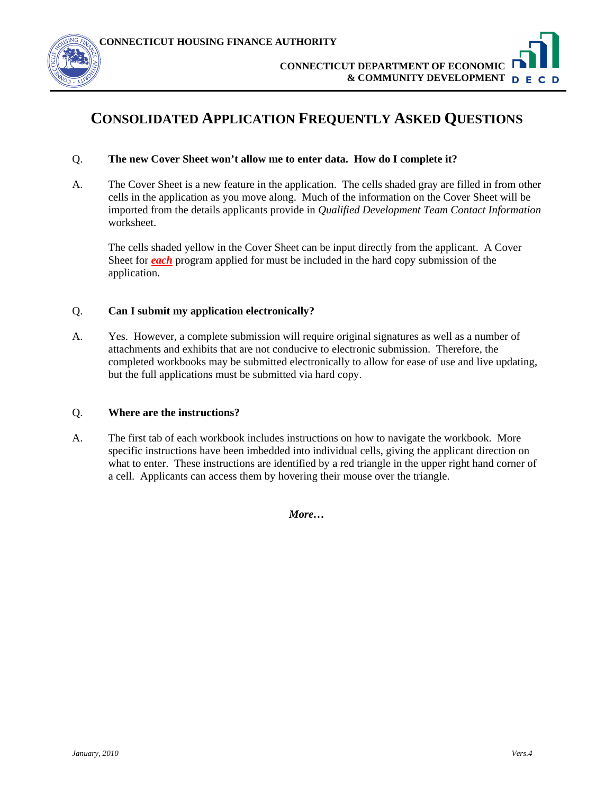

# **CONSOLIDATED APPLICATION FREQUENTLY ASKED QUESTIONS**

#### Q. **The new Cover Sheet won't allow me to enter data. How do I complete it?**

A. The Cover Sheet is a new feature in the application. The cells shaded gray are filled in from other cells in the application as you move along. Much of the information on the Cover Sheet will be imported from the details applicants provide in *Qualified Development Team Contact Information* worksheet.

The cells shaded yellow in the Cover Sheet can be input directly from the applicant. A Cover Sheet for *each* program applied for must be included in the hard copy submission of the application.

# Q. **Can I submit my application electronically?**

A. Yes. However, a complete submission will require original signatures as well as a number of attachments and exhibits that are not conducive to electronic submission. Therefore, the completed workbooks may be submitted electronically to allow for ease of use and live updating, but the full applications must be submitted via hard copy.

#### Q. **Where are the instructions?**

A. The first tab of each workbook includes instructions on how to navigate the workbook. More specific instructions have been imbedded into individual cells, giving the applicant direction on what to enter. These instructions are identified by a red triangle in the upper right hand corner of a cell. Applicants can access them by hovering their mouse over the triangle.

*More…*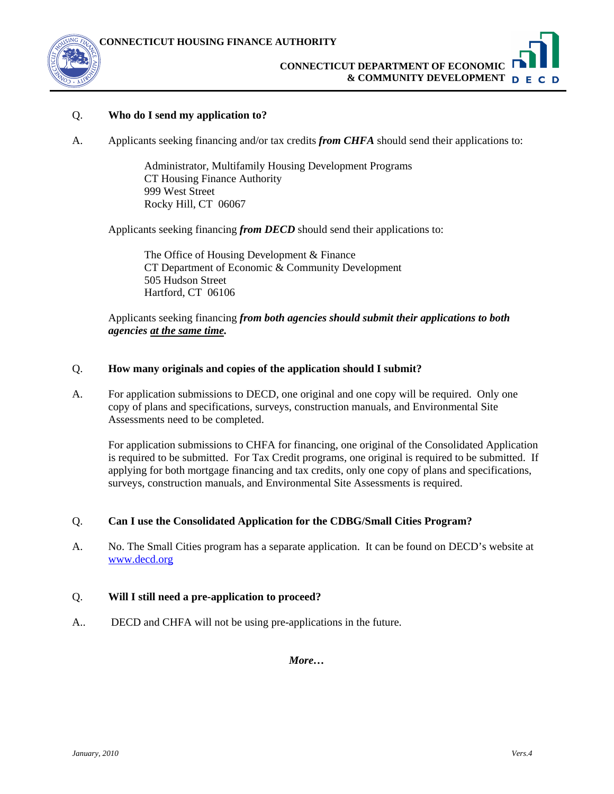

# **CONNECTICUT DEPARTMENT OF ECONOMIC & COMMUNITY DEVELOPMENT**

### Q. **Who do I send my application to?**

A. Applicants seeking financing and/or tax credits *from CHFA* should send their applications to:

Administrator, Multifamily Housing Development Programs CT Housing Finance Authority 999 West Street Rocky Hill, CT 06067

Applicants seeking financing *from DECD* should send their applications to:

The Office of Housing Development & Finance CT Department of Economic & Community Development 505 Hudson Street Hartford, CT 06106

Applicants seeking financing *from both agencies should submit their applications to both agencies at the same time.* 

#### Q. **How many originals and copies of the application should I submit?**

A. For application submissions to DECD, one original and one copy will be required. Only one copy of plans and specifications, surveys, construction manuals, and Environmental Site Assessments need to be completed.

 For application submissions to CHFA for financing, one original of the Consolidated Application is required to be submitted. For Tax Credit programs, one original is required to be submitted. If applying for both mortgage financing and tax credits, only one copy of plans and specifications, surveys, construction manuals, and Environmental Site Assessments is required.

#### Q. **Can I use the Consolidated Application for the CDBG/Small Cities Program?**

A. No. The Small Cities program has a separate application. It can be found on DECD's website at [www.decd.org](http://www.decd.org/)

#### Q. **Will I still need a pre-application to proceed?**

A.. DECD and CHFA will not be using pre-applications in the future.

*More…*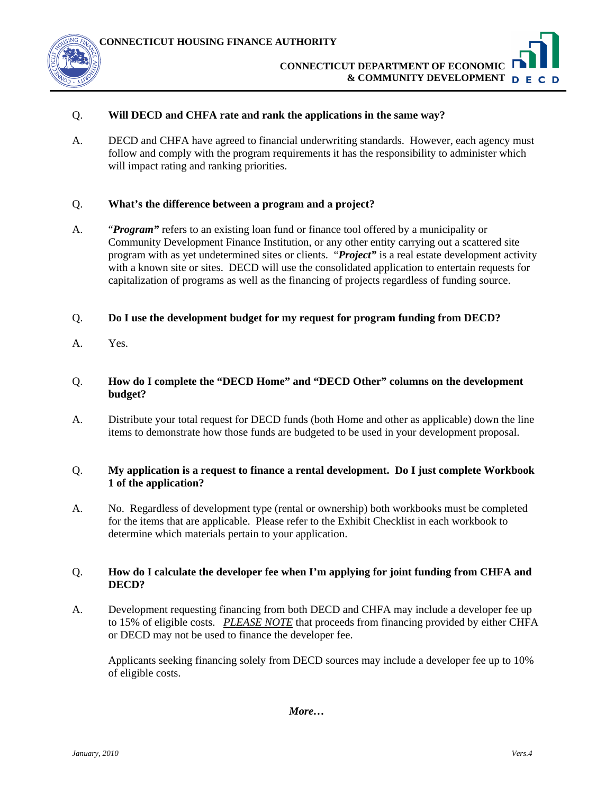

#### Q. **Will DECD and CHFA rate and rank the applications in the same way?**

A. DECD and CHFA have agreed to financial underwriting standards. However, each agency must follow and comply with the program requirements it has the responsibility to administer which will impact rating and ranking priorities.

### Q. **What's the difference between a program and a project?**

A. "*Program"* refers to an existing loan fund or finance tool offered by a municipality or Community Development Finance Institution, or any other entity carrying out a scattered site program with as yet undetermined sites or clients. "*Project"* is a real estate development activity with a known site or sites. DECD will use the consolidated application to entertain requests for capitalization of programs as well as the financing of projects regardless of funding source.

#### Q. **Do I use the development budget for my request for program funding from DECD?**

A. Yes.

# Q. **How do I complete the "DECD Home" and "DECD Other" columns on the development budget?**

A. Distribute your total request for DECD funds (both Home and other as applicable) down the line items to demonstrate how those funds are budgeted to be used in your development proposal.

# Q. **My application is a request to finance a rental development. Do I just complete Workbook 1 of the application?**

A. No. Regardless of development type (rental or ownership) both workbooks must be completed for the items that are applicable. Please refer to the Exhibit Checklist in each workbook to determine which materials pertain to your application.

# Q. **How do I calculate the developer fee when I'm applying for joint funding from CHFA and DECD?**

A. Development requesting financing from both DECD and CHFA may include a developer fee up to 15% of eligible costs. *PLEASE NOTE* that proceeds from financing provided by either CHFA or DECD may not be used to finance the developer fee.

 Applicants seeking financing solely from DECD sources may include a developer fee up to 10% of eligible costs.

*More…*